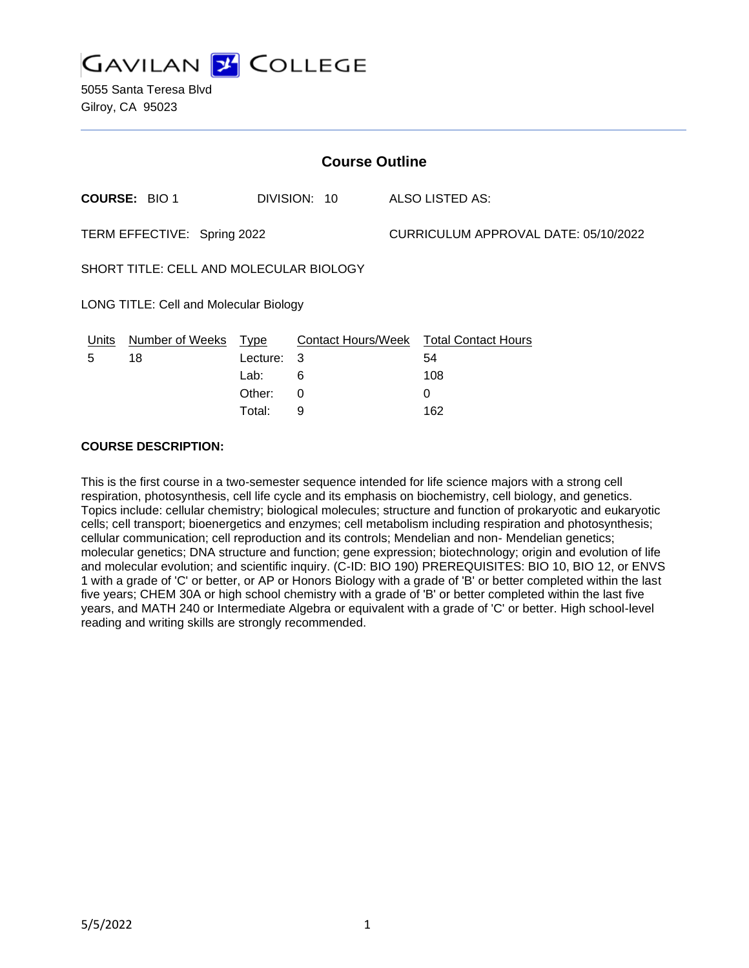

| <b>Course Outline</b>                   |          |                      |              |                                        |  |
|-----------------------------------------|----------|----------------------|--------------|----------------------------------------|--|
| <b>COURSE: BIO 1</b>                    |          |                      |              | ALSO LISTED AS:                        |  |
| TERM EFFECTIVE: Spring 2022             |          |                      |              | CURRICULUM APPROVAL DATE: 05/10/2022   |  |
| SHORT TITLE: CELL AND MOLECULAR BIOLOGY |          |                      |              |                                        |  |
| LONG TITLE: Cell and Molecular Biology  |          |                      |              |                                        |  |
|                                         |          |                      |              |                                        |  |
| 18                                      | Lecture: | -3                   |              | 54                                     |  |
|                                         | Lab:     | 6                    |              | 108                                    |  |
|                                         | Other:   | $\Omega$             |              | 0                                      |  |
|                                         | Total:   | 9                    |              | 162                                    |  |
|                                         |          | Number of Weeks Type | DIVISION: 10 | Contact Hours/Week Total Contact Hours |  |

#### **COURSE DESCRIPTION:**

This is the first course in a two-semester sequence intended for life science majors with a strong cell respiration, photosynthesis, cell life cycle and its emphasis on biochemistry, cell biology, and genetics. Topics include: cellular chemistry; biological molecules; structure and function of prokaryotic and eukaryotic cells; cell transport; bioenergetics and enzymes; cell metabolism including respiration and photosynthesis; cellular communication; cell reproduction and its controls; Mendelian and non- Mendelian genetics; molecular genetics; DNA structure and function; gene expression; biotechnology; origin and evolution of life and molecular evolution; and scientific inquiry. (C-ID: BIO 190) PREREQUISITES: BIO 10, BIO 12, or ENVS 1 with a grade of 'C' or better, or AP or Honors Biology with a grade of 'B' or better completed within the last five years; CHEM 30A or high school chemistry with a grade of 'B' or better completed within the last five years, and MATH 240 or Intermediate Algebra or equivalent with a grade of 'C' or better. High school-level reading and writing skills are strongly recommended.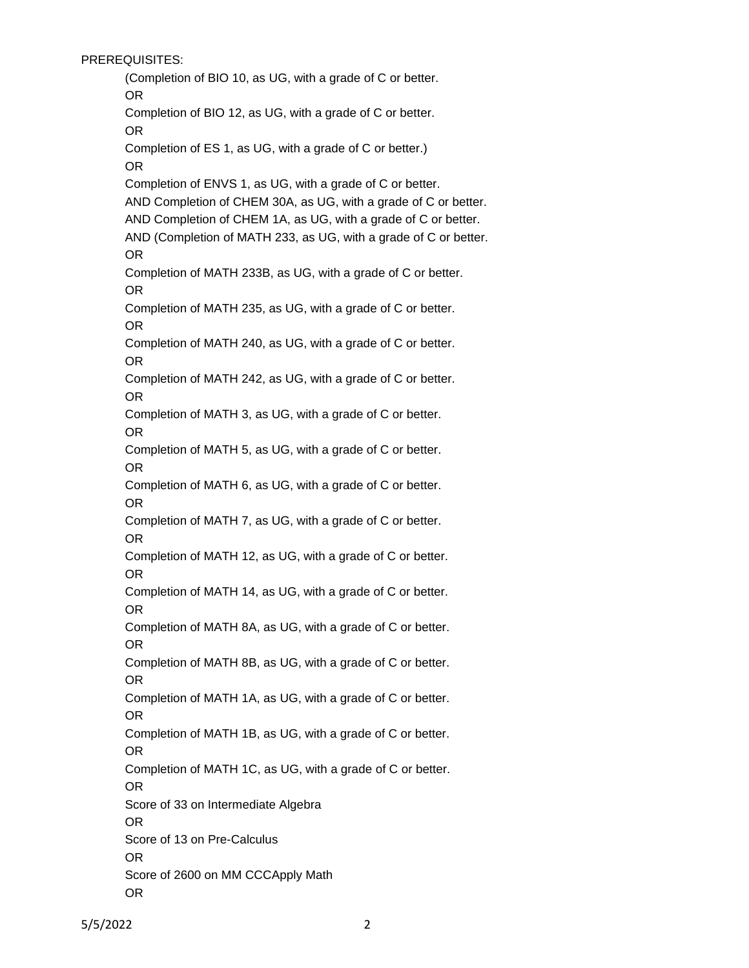PREREQUISITES:

(Completion of BIO 10, as UG, with a grade of C or better. OR Completion of BIO 12, as UG, with a grade of C or better. OR Completion of ES 1, as UG, with a grade of C or better.) OR Completion of ENVS 1, as UG, with a grade of C or better. AND Completion of CHEM 30A, as UG, with a grade of C or better. AND Completion of CHEM 1A, as UG, with a grade of C or better. AND (Completion of MATH 233, as UG, with a grade of C or better. OR Completion of MATH 233B, as UG, with a grade of C or better. OR Completion of MATH 235, as UG, with a grade of C or better. OR Completion of MATH 240, as UG, with a grade of C or better. OR Completion of MATH 242, as UG, with a grade of C or better. OR Completion of MATH 3, as UG, with a grade of C or better. OR Completion of MATH 5, as UG, with a grade of C or better. OR Completion of MATH 6, as UG, with a grade of C or better. OR Completion of MATH 7, as UG, with a grade of C or better. OR Completion of MATH 12, as UG, with a grade of C or better. OR Completion of MATH 14, as UG, with a grade of C or better. OR Completion of MATH 8A, as UG, with a grade of C or better. OR Completion of MATH 8B, as UG, with a grade of C or better. OR Completion of MATH 1A, as UG, with a grade of C or better. OR Completion of MATH 1B, as UG, with a grade of C or better. OR Completion of MATH 1C, as UG, with a grade of C or better. OR Score of 33 on Intermediate Algebra OR Score of 13 on Pre-Calculus OR Score of 2600 on MM CCCApply Math OR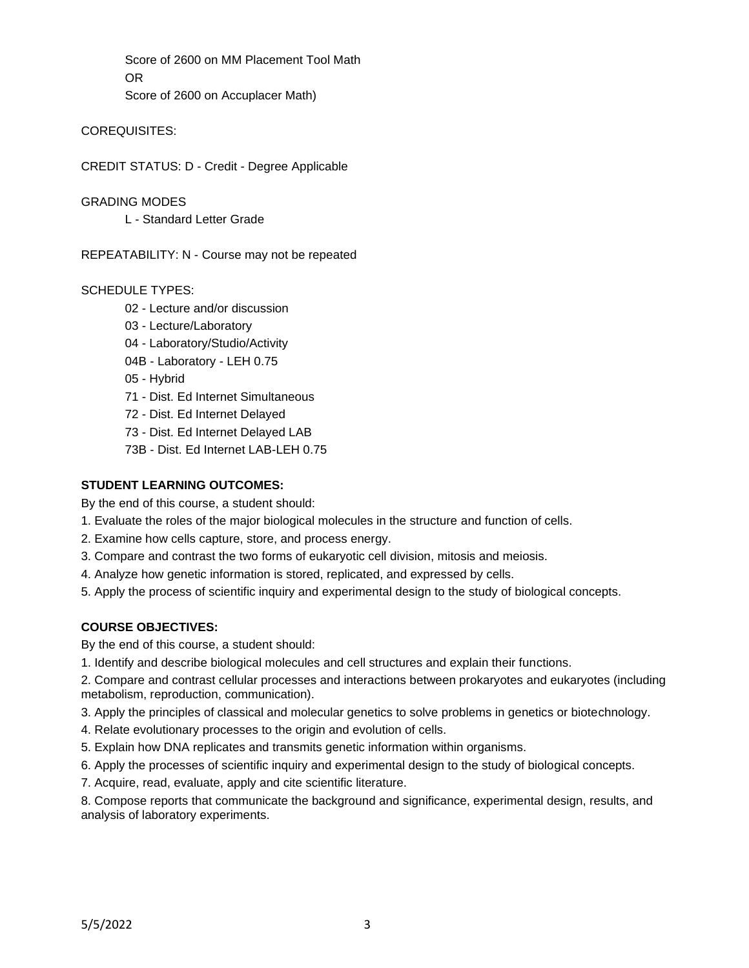Score of 2600 on MM Placement Tool Math OR Score of 2600 on Accuplacer Math)

COREQUISITES:

CREDIT STATUS: D - Credit - Degree Applicable

GRADING MODES

L - Standard Letter Grade

REPEATABILITY: N - Course may not be repeated

# SCHEDULE TYPES:

- 02 Lecture and/or discussion
- 03 Lecture/Laboratory
- 04 Laboratory/Studio/Activity
- 04B Laboratory LEH 0.75

05 - Hybrid

- 71 Dist. Ed Internet Simultaneous
- 72 Dist. Ed Internet Delayed
- 73 Dist. Ed Internet Delayed LAB
- 73B Dist. Ed Internet LAB-LEH 0.75

# **STUDENT LEARNING OUTCOMES:**

By the end of this course, a student should:

- 1. Evaluate the roles of the major biological molecules in the structure and function of cells.
- 2. Examine how cells capture, store, and process energy.
- 3. Compare and contrast the two forms of eukaryotic cell division, mitosis and meiosis.
- 4. Analyze how genetic information is stored, replicated, and expressed by cells.
- 5. Apply the process of scientific inquiry and experimental design to the study of biological concepts.

# **COURSE OBJECTIVES:**

By the end of this course, a student should:

1. Identify and describe biological molecules and cell structures and explain their functions.

2. Compare and contrast cellular processes and interactions between prokaryotes and eukaryotes (including metabolism, reproduction, communication).

3. Apply the principles of classical and molecular genetics to solve problems in genetics or biotechnology.

- 4. Relate evolutionary processes to the origin and evolution of cells.
- 5. Explain how DNA replicates and transmits genetic information within organisms.
- 6. Apply the processes of scientific inquiry and experimental design to the study of biological concepts.
- 7. Acquire, read, evaluate, apply and cite scientific literature.

8. Compose reports that communicate the background and significance, experimental design, results, and analysis of laboratory experiments.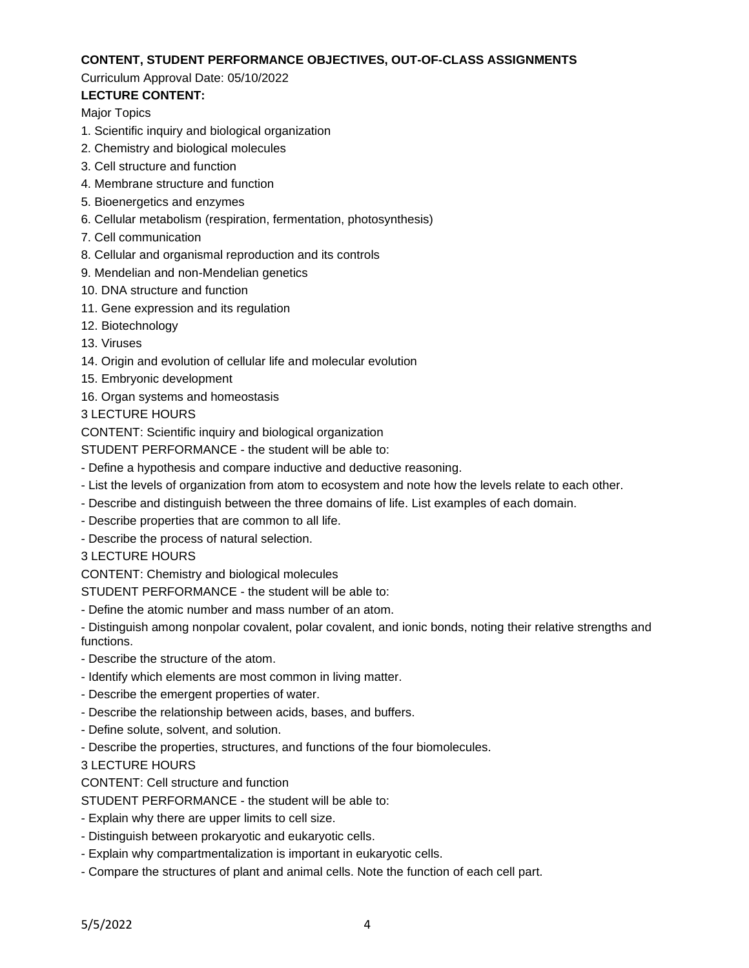#### **CONTENT, STUDENT PERFORMANCE OBJECTIVES, OUT-OF-CLASS ASSIGNMENTS**

#### Curriculum Approval Date: 05/10/2022

# **LECTURE CONTENT:**

Major Topics

- 1. Scientific inquiry and biological organization
- 2. Chemistry and biological molecules
- 3. Cell structure and function
- 4. Membrane structure and function
- 5. Bioenergetics and enzymes
- 6. Cellular metabolism (respiration, fermentation, photosynthesis)
- 7. Cell communication
- 8. Cellular and organismal reproduction and its controls
- 9. Mendelian and non-Mendelian genetics
- 10. DNA structure and function
- 11. Gene expression and its regulation
- 12. Biotechnology
- 13. Viruses
- 14. Origin and evolution of cellular life and molecular evolution
- 15. Embryonic development
- 16. Organ systems and homeostasis

3 LECTURE HOURS

CONTENT: Scientific inquiry and biological organization

STUDENT PERFORMANCE - the student will be able to:

- Define a hypothesis and compare inductive and deductive reasoning.
- List the levels of organization from atom to ecosystem and note how the levels relate to each other.
- Describe and distinguish between the three domains of life. List examples of each domain.
- Describe properties that are common to all life.
- Describe the process of natural selection.
- 3 LECTURE HOURS

CONTENT: Chemistry and biological molecules

STUDENT PERFORMANCE - the student will be able to:

- Define the atomic number and mass number of an atom.

- Distinguish among nonpolar covalent, polar covalent, and ionic bonds, noting their relative strengths and functions.

- Describe the structure of the atom.
- Identify which elements are most common in living matter.
- Describe the emergent properties of water.
- Describe the relationship between acids, bases, and buffers.
- Define solute, solvent, and solution.
- Describe the properties, structures, and functions of the four biomolecules.

3 LECTURE HOURS

CONTENT: Cell structure and function

STUDENT PERFORMANCE - the student will be able to:

- Explain why there are upper limits to cell size.
- Distinguish between prokaryotic and eukaryotic cells.
- Explain why compartmentalization is important in eukaryotic cells.
- Compare the structures of plant and animal cells. Note the function of each cell part.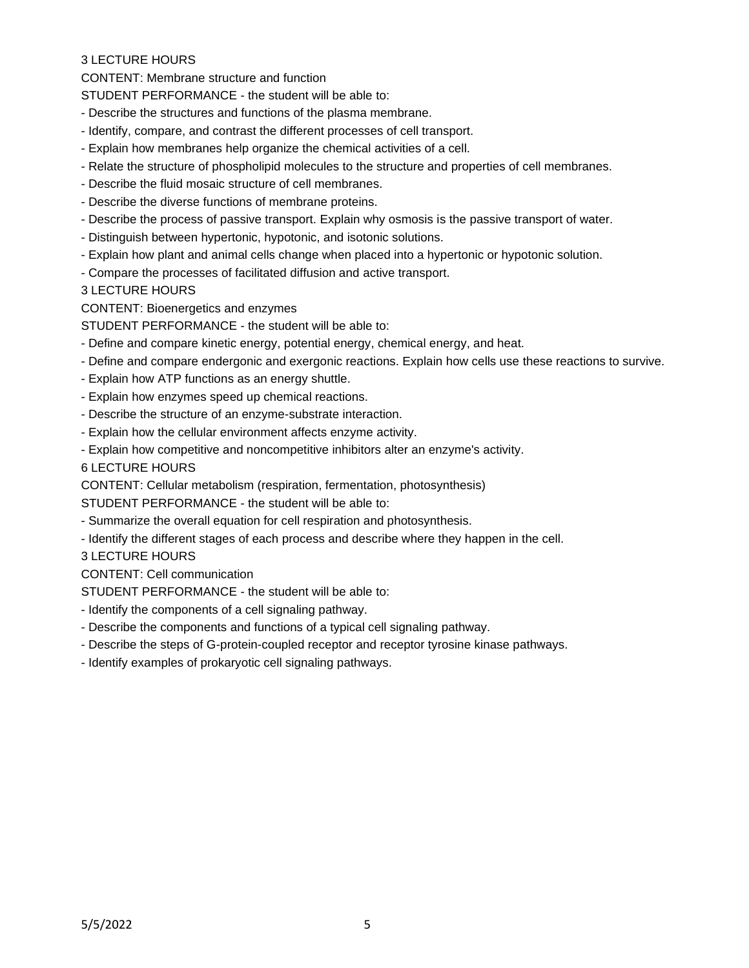CONTENT: Membrane structure and function

STUDENT PERFORMANCE - the student will be able to:

- Describe the structures and functions of the plasma membrane.
- Identify, compare, and contrast the different processes of cell transport.
- Explain how membranes help organize the chemical activities of a cell.
- Relate the structure of phospholipid molecules to the structure and properties of cell membranes.
- Describe the fluid mosaic structure of cell membranes.
- Describe the diverse functions of membrane proteins.
- Describe the process of passive transport. Explain why osmosis is the passive transport of water.
- Distinguish between hypertonic, hypotonic, and isotonic solutions.
- Explain how plant and animal cells change when placed into a hypertonic or hypotonic solution.
- Compare the processes of facilitated diffusion and active transport.

3 LECTURE HOURS

CONTENT: Bioenergetics and enzymes

STUDENT PERFORMANCE - the student will be able to:

- Define and compare kinetic energy, potential energy, chemical energy, and heat.
- Define and compare endergonic and exergonic reactions. Explain how cells use these reactions to survive.
- Explain how ATP functions as an energy shuttle.
- Explain how enzymes speed up chemical reactions.
- Describe the structure of an enzyme-substrate interaction.
- Explain how the cellular environment affects enzyme activity.
- Explain how competitive and noncompetitive inhibitors alter an enzyme's activity.

6 LECTURE HOURS

CONTENT: Cellular metabolism (respiration, fermentation, photosynthesis)

STUDENT PERFORMANCE - the student will be able to:

- Summarize the overall equation for cell respiration and photosynthesis.
- Identify the different stages of each process and describe where they happen in the cell.

3 LECTURE HOURS

CONTENT: Cell communication

STUDENT PERFORMANCE - the student will be able to:

- Identify the components of a cell signaling pathway.
- Describe the components and functions of a typical cell signaling pathway.
- Describe the steps of G-protein-coupled receptor and receptor tyrosine kinase pathways.
- Identify examples of prokaryotic cell signaling pathways.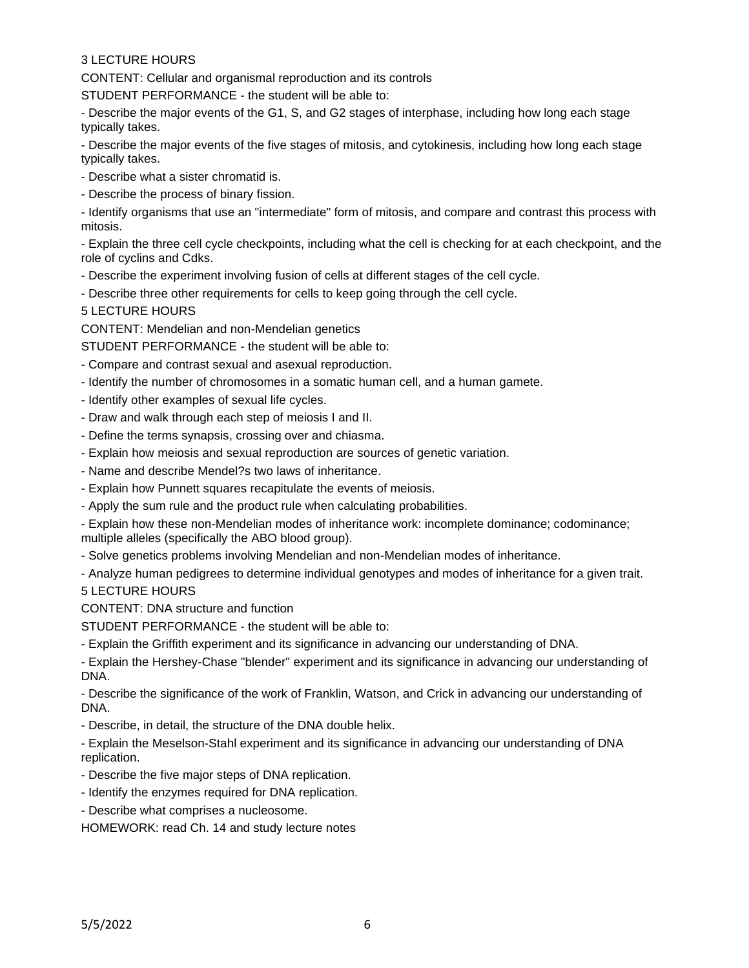CONTENT: Cellular and organismal reproduction and its controls

STUDENT PERFORMANCE - the student will be able to:

- Describe the major events of the G1, S, and G2 stages of interphase, including how long each stage typically takes.

- Describe the major events of the five stages of mitosis, and cytokinesis, including how long each stage typically takes.

- Describe what a sister chromatid is.
- Describe the process of binary fission.

- Identify organisms that use an "intermediate" form of mitosis, and compare and contrast this process with mitosis.

- Explain the three cell cycle checkpoints, including what the cell is checking for at each checkpoint, and the role of cyclins and Cdks.

- Describe the experiment involving fusion of cells at different stages of the cell cycle.
- Describe three other requirements for cells to keep going through the cell cycle.
- 5 LECTURE HOURS

CONTENT: Mendelian and non-Mendelian genetics

STUDENT PERFORMANCE - the student will be able to:

- Compare and contrast sexual and asexual reproduction.
- Identify the number of chromosomes in a somatic human cell, and a human gamete.
- Identify other examples of sexual life cycles.
- Draw and walk through each step of meiosis I and II.
- Define the terms synapsis, crossing over and chiasma.
- Explain how meiosis and sexual reproduction are sources of genetic variation.
- Name and describe Mendel?s two laws of inheritance.
- Explain how Punnett squares recapitulate the events of meiosis.
- Apply the sum rule and the product rule when calculating probabilities.

- Explain how these non-Mendelian modes of inheritance work: incomplete dominance; codominance; multiple alleles (specifically the ABO blood group).

- Solve genetics problems involving Mendelian and non-Mendelian modes of inheritance.
- Analyze human pedigrees to determine individual genotypes and modes of inheritance for a given trait.

5 LECTURE HOURS

CONTENT: DNA structure and function

STUDENT PERFORMANCE - the student will be able to:

- Explain the Griffith experiment and its significance in advancing our understanding of DNA.

- Explain the Hershey-Chase "blender" experiment and its significance in advancing our understanding of DNA.

- Describe the significance of the work of Franklin, Watson, and Crick in advancing our understanding of DNA.

- Describe, in detail, the structure of the DNA double helix.

- Explain the Meselson-Stahl experiment and its significance in advancing our understanding of DNA replication.

- Describe the five major steps of DNA replication.
- Identify the enzymes required for DNA replication.
- Describe what comprises a nucleosome.

HOMEWORK: read Ch. 14 and study lecture notes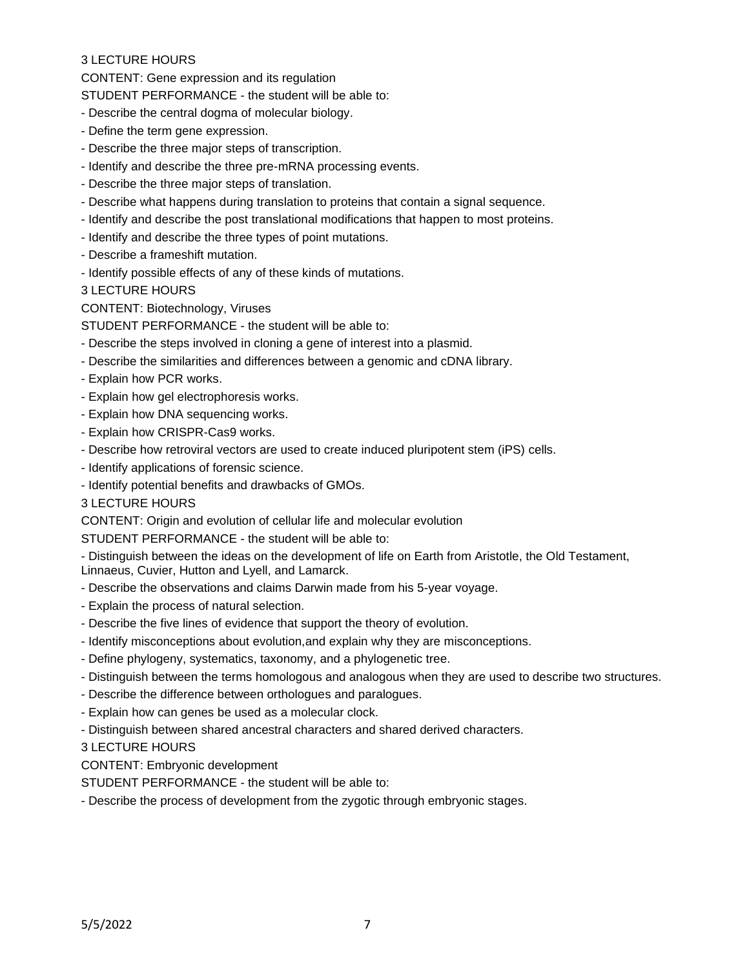CONTENT: Gene expression and its regulation

STUDENT PERFORMANCE - the student will be able to:

- Describe the central dogma of molecular biology.

- Define the term gene expression.
- Describe the three major steps of transcription.
- Identify and describe the three pre-mRNA processing events.
- Describe the three major steps of translation.
- Describe what happens during translation to proteins that contain a signal sequence.
- Identify and describe the post translational modifications that happen to most proteins.
- Identify and describe the three types of point mutations.
- Describe a frameshift mutation.
- Identify possible effects of any of these kinds of mutations.

3 LECTURE HOURS

CONTENT: Biotechnology, Viruses

STUDENT PERFORMANCE - the student will be able to:

- Describe the steps involved in cloning a gene of interest into a plasmid.
- Describe the similarities and differences between a genomic and cDNA library.
- Explain how PCR works.
- Explain how gel electrophoresis works.
- Explain how DNA sequencing works.
- Explain how CRISPR-Cas9 works.
- Describe how retroviral vectors are used to create induced pluripotent stem (iPS) cells.
- Identify applications of forensic science.
- Identify potential benefits and drawbacks of GMOs.

#### 3 LECTURE HOURS

CONTENT: Origin and evolution of cellular life and molecular evolution

STUDENT PERFORMANCE - the student will be able to:

- Distinguish between the ideas on the development of life on Earth from Aristotle, the Old Testament, Linnaeus, Cuvier, Hutton and Lyell, and Lamarck.

- Describe the observations and claims Darwin made from his 5-year voyage.
- Explain the process of natural selection.
- Describe the five lines of evidence that support the theory of evolution.
- Identify misconceptions about evolution,and explain why they are misconceptions.
- Define phylogeny, systematics, taxonomy, and a phylogenetic tree.
- Distinguish between the terms homologous and analogous when they are used to describe two structures.
- Describe the difference between orthologues and paralogues.
- Explain how can genes be used as a molecular clock.
- Distinguish between shared ancestral characters and shared derived characters.

3 LECTURE HOURS

CONTENT: Embryonic development

STUDENT PERFORMANCE - the student will be able to:

- Describe the process of development from the zygotic through embryonic stages.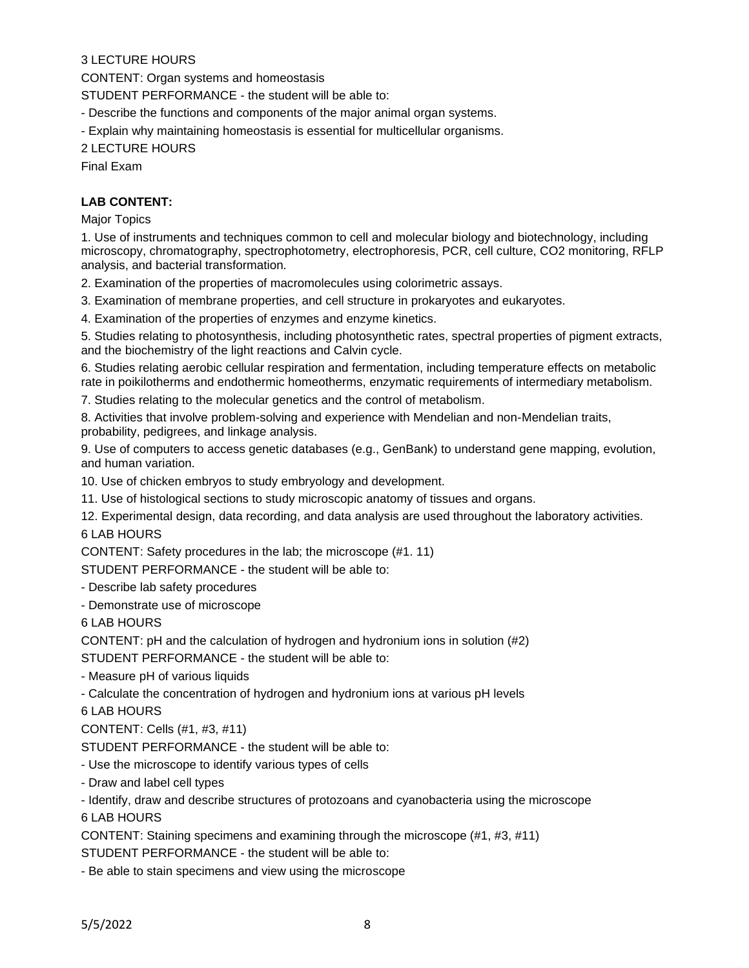CONTENT: Organ systems and homeostasis

STUDENT PERFORMANCE - the student will be able to:

- Describe the functions and components of the major animal organ systems.

- Explain why maintaining homeostasis is essential for multicellular organisms.

2 LECTURE HOURS

Final Exam

#### **LAB CONTENT:**

Major Topics

1. Use of instruments and techniques common to cell and molecular biology and biotechnology, including microscopy, chromatography, spectrophotometry, electrophoresis, PCR, cell culture, CO2 monitoring, RFLP analysis, and bacterial transformation.

2. Examination of the properties of macromolecules using colorimetric assays.

3. Examination of membrane properties, and cell structure in prokaryotes and eukaryotes.

4. Examination of the properties of enzymes and enzyme kinetics.

5. Studies relating to photosynthesis, including photosynthetic rates, spectral properties of pigment extracts, and the biochemistry of the light reactions and Calvin cycle.

6. Studies relating aerobic cellular respiration and fermentation, including temperature effects on metabolic rate in poikilotherms and endothermic homeotherms, enzymatic requirements of intermediary metabolism.

7. Studies relating to the molecular genetics and the control of metabolism.

8. Activities that involve problem-solving and experience with Mendelian and non-Mendelian traits, probability, pedigrees, and linkage analysis.

9. Use of computers to access genetic databases (e.g., GenBank) to understand gene mapping, evolution, and human variation.

10. Use of chicken embryos to study embryology and development.

11. Use of histological sections to study microscopic anatomy of tissues and organs.

12. Experimental design, data recording, and data analysis are used throughout the laboratory activities. 6 LAB HOURS

CONTENT: Safety procedures in the lab; the microscope (#1. 11)

STUDENT PERFORMANCE - the student will be able to:

- Describe lab safety procedures

- Demonstrate use of microscope

6 LAB HOURS

CONTENT: pH and the calculation of hydrogen and hydronium ions in solution (#2)

STUDENT PERFORMANCE - the student will be able to:

- Measure pH of various liquids

- Calculate the concentration of hydrogen and hydronium ions at various pH levels

6 LAB HOURS

CONTENT: Cells (#1, #3, #11)

STUDENT PERFORMANCE - the student will be able to:

- Use the microscope to identify various types of cells

- Draw and label cell types

- Identify, draw and describe structures of protozoans and cyanobacteria using the microscope

6 LAB HOURS

CONTENT: Staining specimens and examining through the microscope (#1, #3, #11)

STUDENT PERFORMANCE - the student will be able to:

- Be able to stain specimens and view using the microscope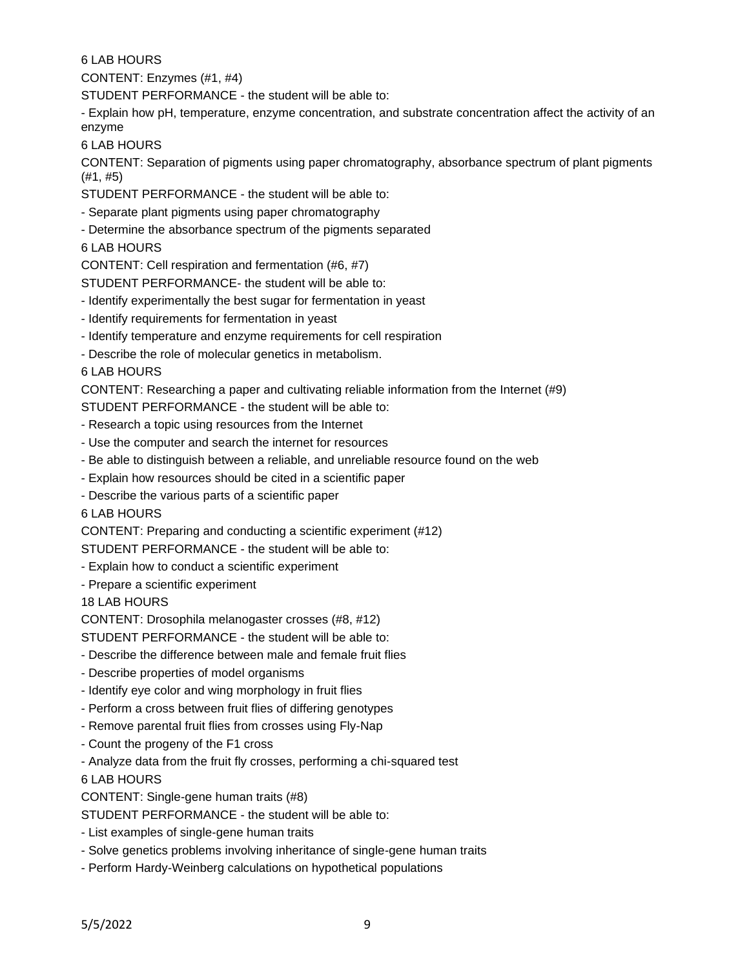6 LAB HOURS

CONTENT: Enzymes (#1, #4)

STUDENT PERFORMANCE - the student will be able to:

- Explain how pH, temperature, enzyme concentration, and substrate concentration affect the activity of an enzyme

6 LAB HOURS

CONTENT: Separation of pigments using paper chromatography, absorbance spectrum of plant pigments (#1, #5)

STUDENT PERFORMANCE - the student will be able to:

- Separate plant pigments using paper chromatography
- Determine the absorbance spectrum of the pigments separated
- 6 LAB HOURS

CONTENT: Cell respiration and fermentation (#6, #7)

STUDENT PERFORMANCE- the student will be able to:

- Identify experimentally the best sugar for fermentation in yeast
- Identify requirements for fermentation in yeast
- Identify temperature and enzyme requirements for cell respiration
- Describe the role of molecular genetics in metabolism.

6 LAB HOURS

CONTENT: Researching a paper and cultivating reliable information from the Internet (#9)

STUDENT PERFORMANCE - the student will be able to:

- Research a topic using resources from the Internet
- Use the computer and search the internet for resources
- Be able to distinguish between a reliable, and unreliable resource found on the web
- Explain how resources should be cited in a scientific paper
- Describe the various parts of a scientific paper

6 LAB HOURS

CONTENT: Preparing and conducting a scientific experiment (#12)

STUDENT PERFORMANCE - the student will be able to:

- Explain how to conduct a scientific experiment
- Prepare a scientific experiment

18 LAB HOURS

CONTENT: Drosophila melanogaster crosses (#8, #12)

STUDENT PERFORMANCE - the student will be able to:

- Describe the difference between male and female fruit flies
- Describe properties of model organisms
- Identify eye color and wing morphology in fruit flies
- Perform a cross between fruit flies of differing genotypes
- Remove parental fruit flies from crosses using Fly-Nap
- Count the progeny of the F1 cross
- Analyze data from the fruit fly crosses, performing a chi-squared test

6 LAB HOURS

CONTENT: Single-gene human traits (#8)

STUDENT PERFORMANCE - the student will be able to:

- List examples of single-gene human traits
- Solve genetics problems involving inheritance of single-gene human traits
- Perform Hardy-Weinberg calculations on hypothetical populations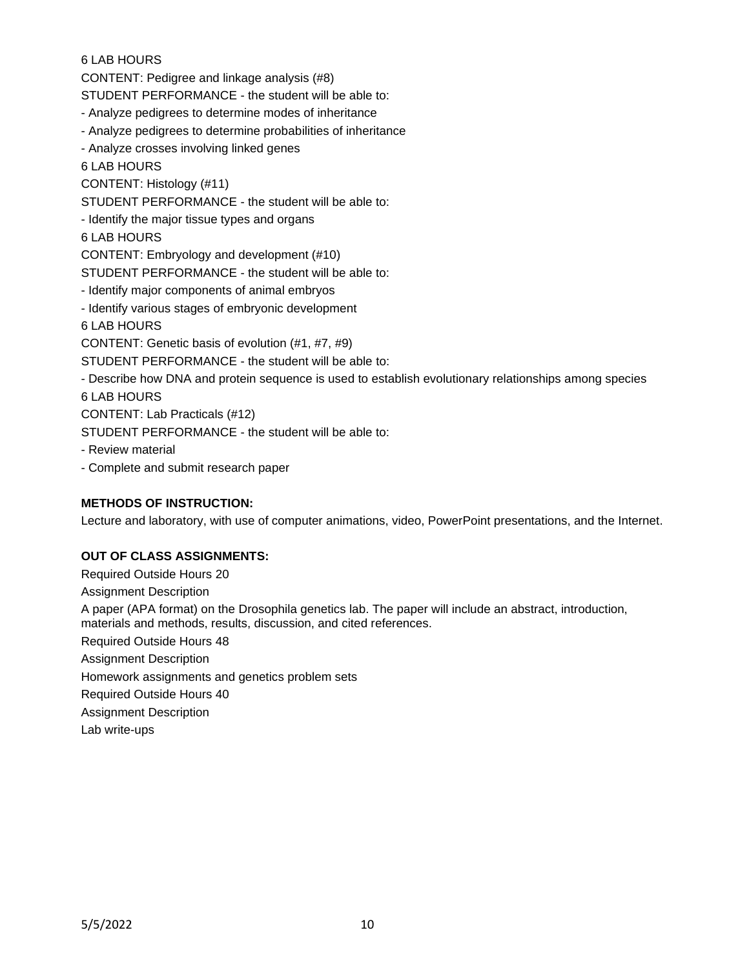# 6 LAB HOURS

CONTENT: Pedigree and linkage analysis (#8)

STUDENT PERFORMANCE - the student will be able to:

- Analyze pedigrees to determine modes of inheritance
- Analyze pedigrees to determine probabilities of inheritance
- Analyze crosses involving linked genes

6 LAB HOURS

CONTENT: Histology (#11)

STUDENT PERFORMANCE - the student will be able to:

- Identify the major tissue types and organs

6 LAB HOURS

CONTENT: Embryology and development (#10)

STUDENT PERFORMANCE - the student will be able to:

- Identify major components of animal embryos

- Identify various stages of embryonic development

6 LAB HOURS

CONTENT: Genetic basis of evolution (#1, #7, #9)

STUDENT PERFORMANCE - the student will be able to:

- Describe how DNA and protein sequence is used to establish evolutionary relationships among species

6 LAB HOURS

CONTENT: Lab Practicals (#12)

STUDENT PERFORMANCE - the student will be able to:

- Review material

- Complete and submit research paper

# **METHODS OF INSTRUCTION:**

Lecture and laboratory, with use of computer animations, video, PowerPoint presentations, and the Internet.

# **OUT OF CLASS ASSIGNMENTS:**

Required Outside Hours 20 Assignment Description A paper (APA format) on the Drosophila genetics lab. The paper will include an abstract, introduction, materials and methods, results, discussion, and cited references. Required Outside Hours 48 Assignment Description Homework assignments and genetics problem sets Required Outside Hours 40 Assignment Description Lab write-ups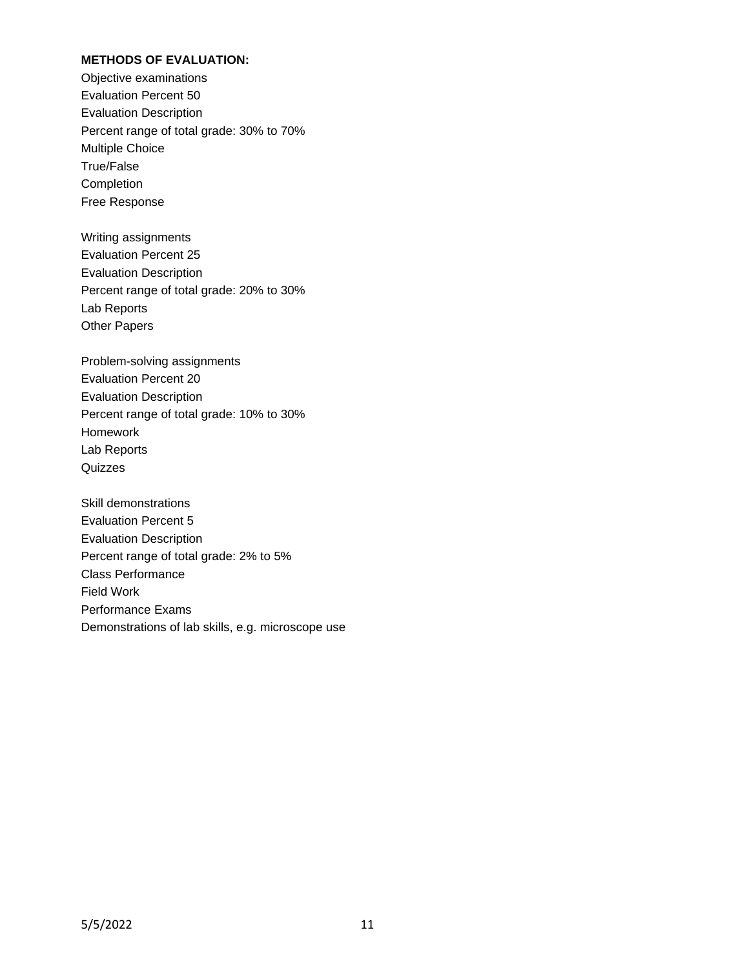#### **METHODS OF EVALUATION:**

Objective examinations Evaluation Percent 50 Evaluation Description Percent range of total grade: 30% to 70% Multiple Choice True/False Completion Free Response

Writing assignments Evaluation Percent 25 Evaluation Description Percent range of total grade: 20% to 30% Lab Reports Other Papers

Problem-solving assignments Evaluation Percent 20 Evaluation Description Percent range of total grade: 10% to 30% Homework Lab Reports **Quizzes** 

Skill demonstrations Evaluation Percent 5 Evaluation Description Percent range of total grade: 2% to 5% Class Performance Field Work Performance Exams Demonstrations of lab skills, e.g. microscope use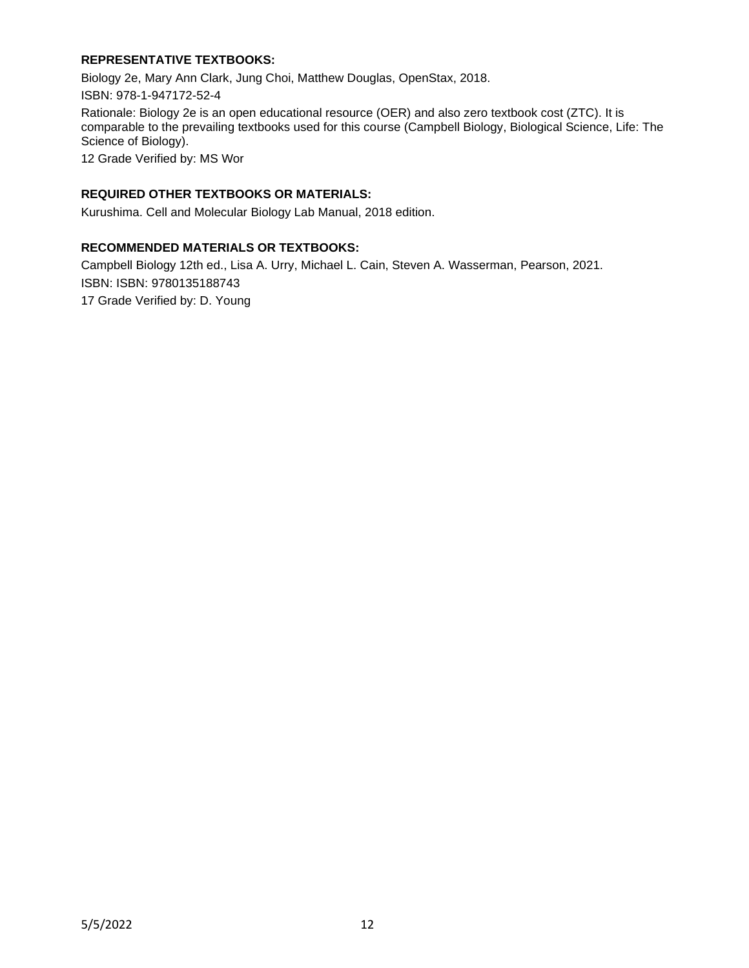### **REPRESENTATIVE TEXTBOOKS:**

Biology 2e, Mary Ann Clark, Jung Choi, Matthew Douglas, OpenStax, 2018.

ISBN: 978-1-947172-52-4

Rationale: Biology 2e is an open educational resource (OER) and also zero textbook cost (ZTC). It is comparable to the prevailing textbooks used for this course (Campbell Biology, Biological Science, Life: The Science of Biology).

12 Grade Verified by: MS Wor

#### **REQUIRED OTHER TEXTBOOKS OR MATERIALS:**

Kurushima. Cell and Molecular Biology Lab Manual, 2018 edition.

#### **RECOMMENDED MATERIALS OR TEXTBOOKS:**

Campbell Biology 12th ed., Lisa A. Urry, Michael L. Cain, Steven A. Wasserman, Pearson, 2021. ISBN: ISBN: 9780135188743

17 Grade Verified by: D. Young